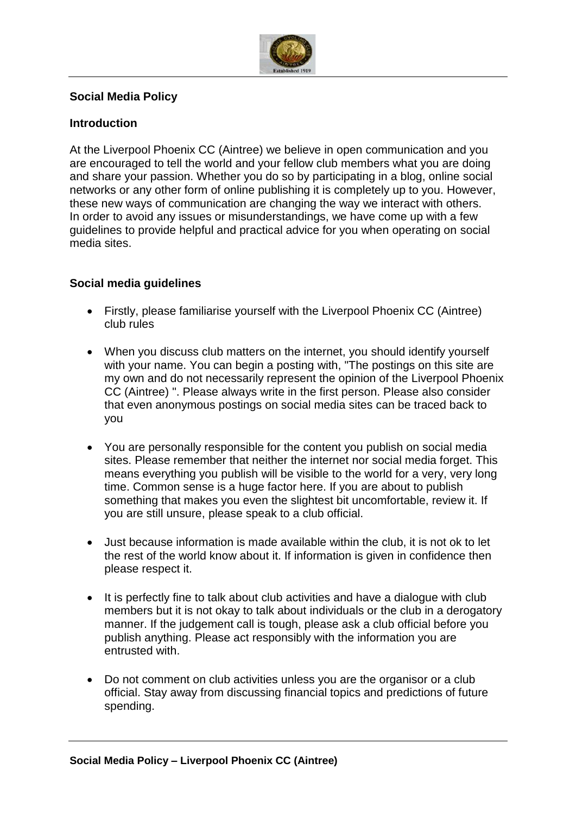

## **Social Media Policy**

## **Introduction**

At the Liverpool Phoenix CC (Aintree) we believe in open communication and you are encouraged to tell the world and your fellow club members what you are doing and share your passion. Whether you do so by participating in a blog, online social networks or any other form of online publishing it is completely up to you. However, these new ways of communication are changing the way we interact with others. In order to avoid any issues or misunderstandings, we have come up with a few guidelines to provide helpful and practical advice for you when operating on social media sites.

## **Social media guidelines**

- Firstly, please familiarise yourself with the Liverpool Phoenix CC (Aintree) club rules
- When you discuss club matters on the internet, you should identify yourself with your name. You can begin a posting with, "The postings on this site are my own and do not necessarily represent the opinion of the Liverpool Phoenix CC (Aintree) ". Please always write in the first person. Please also consider that even anonymous postings on social media sites can be traced back to you
- You are personally responsible for the content you publish on social media sites. Please remember that neither the internet nor social media forget. This means everything you publish will be visible to the world for a very, very long time. Common sense is a huge factor here. If you are about to publish something that makes you even the slightest bit uncomfortable, review it. If you are still unsure, please speak to a club official.
- Just because information is made available within the club, it is not ok to let the rest of the world know about it. If information is given in confidence then please respect it.
- It is perfectly fine to talk about club activities and have a dialogue with club members but it is not okay to talk about individuals or the club in a derogatory manner. If the judgement call is tough, please ask a club official before you publish anything. Please act responsibly with the information you are entrusted with.
- Do not comment on club activities unless you are the organisor or a club official. Stay away from discussing financial topics and predictions of future spending.